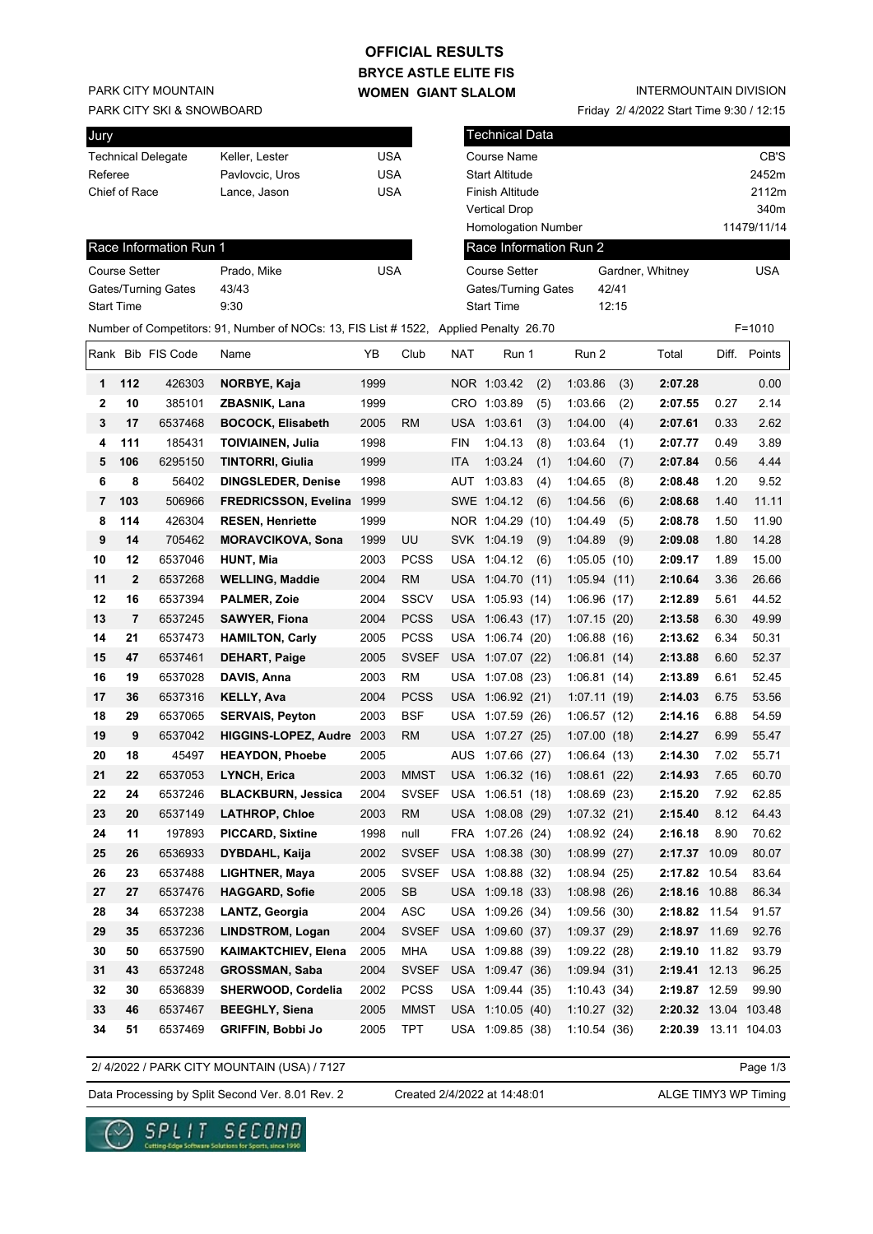### **OFFICIAL RESULTS**

**BRYCE ASTLE ELITE FIS WOMEN GIANT SLALOM**

PARK CITY MOUNTAIN

PARK CITY SKI & SNOWBOARD

| Jury                      |                 |     |
|---------------------------|-----------------|-----|
| <b>Technical Delegate</b> | Keller, Lester  | USA |
| Referee                   | Pavlovcic, Uros | USA |
| Chief of Race             | Lance, Jason    | USA |
|                           |                 |     |

Friday 2/ 4/2022 Start Time 9:30 / 12:15

| Jury              |                      |                        |                                                                                       |            |              |            | Technical Data             |     |                        |       |                      |       |              |
|-------------------|----------------------|------------------------|---------------------------------------------------------------------------------------|------------|--------------|------------|----------------------------|-----|------------------------|-------|----------------------|-------|--------------|
|                   |                      | Technical Delegate     | Keller, Lester                                                                        | <b>USA</b> |              |            | Course Name                |     |                        |       |                      |       | CB'S         |
| Referee           |                      |                        | Pavlovcic, Uros                                                                       | <b>USA</b> |              |            | <b>Start Altitude</b>      |     |                        |       |                      |       | 2452m        |
|                   | Chief of Race        |                        | Lance, Jason                                                                          | <b>USA</b> |              |            | Finish Altitude            |     |                        |       |                      |       | 2112m        |
|                   |                      |                        |                                                                                       |            |              |            | <b>Vertical Drop</b>       |     |                        |       |                      |       | 340m         |
|                   |                      |                        |                                                                                       |            |              |            | <b>Homologation Number</b> |     |                        |       |                      |       | 11479/11/14  |
|                   |                      | Race Information Run 1 |                                                                                       |            |              |            |                            |     | Race Information Run 2 |       |                      |       |              |
|                   | <b>Course Setter</b> |                        | Prado, Mike                                                                           | <b>USA</b> |              |            | <b>Course Setter</b>       |     |                        |       | Gardner, Whitney     |       | <b>USA</b>   |
|                   |                      | Gates/Turning Gates    | 43/43                                                                                 |            |              |            | Gates/Turning Gates        |     |                        | 42/41 |                      |       |              |
| <b>Start Time</b> |                      |                        | 9:30                                                                                  |            |              |            | <b>Start Time</b>          |     |                        | 12:15 |                      |       |              |
|                   |                      |                        | Number of Competitors: 91, Number of NOCs: 13, FIS List # 1522, Applied Penalty 26.70 |            |              |            |                            |     |                        |       |                      |       | $F = 1010$   |
|                   |                      | Rank Bib FIS Code      | Name                                                                                  | YΒ         | Club         | <b>NAT</b> | Run 1                      |     | Run 2                  |       | Total                | Diff. | Points       |
| 1                 | 112                  | 426303                 | NORBYE, Kaja                                                                          | 1999       |              |            | NOR 1:03.42                | (2) | 1:03.86                | (3)   | 2:07.28              |       | 0.00         |
| 2                 | 10                   | 385101                 | <b>ZBASNIK, Lana</b>                                                                  | 1999       |              |            | CRO 1:03.89                | (5) | 1:03.66                | (2)   | 2:07.55              | 0.27  | 2.14         |
| 3                 | 17                   | 6537468                | <b>BOCOCK, Elisabeth</b>                                                              | 2005       | RM           |            | USA 1:03.61                | (3) | 1:04.00                | (4)   | 2:07.61              | 0.33  | 2.62         |
| 4                 | 111                  | 185431                 | <b>TOIVIAINEN, Julia</b>                                                              | 1998       |              | <b>FIN</b> | 1:04.13                    | (8) | 1:03.64                | (1)   | 2:07.77              | 0.49  | 3.89         |
| 5                 | 106                  | 6295150                | <b>TINTORRI, Giulia</b>                                                               | 1999       |              | <b>ITA</b> | 1:03.24                    | (1) | 1:04.60                | (7)   | 2:07.84              | 0.56  | 4.44         |
| 6                 | 8                    | 56402                  | <b>DINGSLEDER, Denise</b>                                                             | 1998       |              | AUT        | 1:03.83                    | (4) | 1:04.65                | (8)   | 2:08.48              | 1.20  | 9.52         |
| 7                 | 103                  | 506966                 | <b>FREDRICSSON, Evelina</b>                                                           | 1999       |              |            | SWE 1:04.12                | (6) | 1:04.56                | (6)   | 2:08.68              | 1.40  | 11.11        |
| 8                 | 114                  | 426304                 | <b>RESEN, Henriette</b>                                                               | 1999       |              |            | NOR 1:04.29 (10)           |     | 1:04.49                | (5)   | 2:08.78              | 1.50  | 11.90        |
| 9                 | 14                   | 705462                 | <b>MORAVCIKOVA, Sona</b>                                                              | 1999       | UU           |            | SVK 1:04.19                | (9) | 1:04.89                | (9)   | 2:09.08              | 1.80  | 14.28        |
| 10                | 12                   | 6537046                | HUNT, Mia                                                                             | 2003       | <b>PCSS</b>  |            | USA 1:04.12                | (6) | 1:05.05(10)            |       | 2:09.17              | 1.89  | 15.00        |
| 11                | $\mathbf 2$          | 6537268                | <b>WELLING, Maddie</b>                                                                | 2004       | <b>RM</b>    |            | USA 1:04.70 (11)           |     | 1:05.94(11)            |       | 2:10.64              | 3.36  | 26.66        |
| 12                | 16                   | 6537394                | <b>PALMER, Zoie</b>                                                                   | 2004       | <b>SSCV</b>  |            | USA 1:05.93 (14)           |     | 1:06.96(17)            |       | 2:12.89              | 5.61  | 44.52        |
| 13                | 7                    | 6537245                | <b>SAWYER, Fiona</b>                                                                  | 2004       | <b>PCSS</b>  |            | USA 1:06.43 (17)           |     | 1:07.15(20)            |       | 2:13.58              | 6.30  | 49.99        |
| 14                | 21                   | 6537473                | <b>HAMILTON, Carly</b>                                                                | 2005       | <b>PCSS</b>  |            | USA 1:06.74 (20)           |     | 1:06.88(16)            |       | 2:13.62              | 6.34  | 50.31        |
| 15                | 47                   | 6537461                | <b>DEHART, Paige</b>                                                                  | 2005       | <b>SVSEF</b> |            | USA 1:07.07 (22)           |     | 1:06.81(14)            |       | 2:13.88              | 6.60  | 52.37        |
| 16                | 19                   | 6537028                | DAVIS, Anna                                                                           | 2003       | RM           |            | USA 1:07.08 (23)           |     | 1:06.81(14)            |       | 2:13.89              | 6.61  | 52.45        |
| 17                | 36                   | 6537316                | <b>KELLY, Ava</b>                                                                     | 2004       | <b>PCSS</b>  |            | USA 1:06.92 (21)           |     | 1:07.11(19)            |       | 2:14.03              | 6.75  | 53.56        |
| 18                | 29                   | 6537065                | <b>SERVAIS, Peyton</b>                                                                | 2003       | <b>BSF</b>   |            | USA 1:07.59 (26)           |     | 1:06.57(12)            |       | 2:14.16              | 6.88  | 54.59        |
| 19                | 9                    | 6537042                | HIGGINS-LOPEZ, Audre 2003                                                             |            | RM           |            | USA 1:07.27 (25)           |     | 1:07.00(18)            |       | 2:14.27              | 6.99  | 55.47        |
| 20                | 18                   | 45497                  | <b>HEAYDON, Phoebe</b>                                                                | 2005       |              | AUS        | 1:07.66(27)                |     | 1:06.64(13)            |       | 2:14.30              | 7.02  | 55.71        |
| 21                | 22                   | 6537053                | <b>LYNCH, Erica</b>                                                                   | 2003       | <b>MMST</b>  | <b>USA</b> | 1:06.32(16)                |     | 1:08.61(22)            |       | 2:14.93              | 7.65  | 60.70        |
| 22                | 24                   | 6537246                | <b>BLACKBURN, Jessica</b>                                                             | 2004       | SVSEF        |            | USA 1:06.51 (18)           |     | 1:08.69(23)            |       | 2:15.20              | 7.92  | 62.85        |
| 23                | 20                   | 6537149                | <b>LATHROP, Chloe</b>                                                                 | 2003       | <b>RM</b>    |            | USA 1:08.08 (29)           |     | 1:07.32(21)            |       | 2:15.40              | 8.12  | 64.43        |
| 24                | 11                   | 197893                 | <b>PICCARD, Sixtine</b>                                                               | 1998       | null         |            | FRA 1:07.26 (24)           |     | 1:08.92(24)            |       | 2:16.18              | 8.90  | 70.62        |
| 25                | 26                   | 6536933                | DYBDAHL, Kaija                                                                        | 2002       | <b>SVSEF</b> |            | USA 1:08.38 (30)           |     | 1:08.99(27)            |       | 2:17.37 10.09        |       | 80.07        |
| 26                | 23                   | 6537488                | <b>LIGHTNER, Maya</b>                                                                 | 2005       | <b>SVSEF</b> |            | USA 1:08.88 (32)           |     | 1:08.94(25)            |       | 2:17.82 10.54        |       | 83.64        |
| 27                | 27                   | 6537476                | <b>HAGGARD, Sofie</b>                                                                 | 2005       | SB           |            | USA 1:09.18 (33)           |     | 1:08.98(26)            |       | 2:18.16 10.88        |       | 86.34        |
| 28                | 34                   | 6537238                | LANTZ, Georgia                                                                        | 2004       | ASC          |            | USA 1:09.26 (34)           |     | 1:09.56(30)            |       | 2:18.82 11.54        |       | 91.57        |
| 29                | 35                   | 6537236                | <b>LINDSTROM, Logan</b>                                                               | 2004       | <b>SVSEF</b> |            | USA 1:09.60 (37)           |     | 1:09.37(29)            |       | 2:18.97 11.69        |       | 92.76        |
| 30                | 50                   | 6537590                | <b>KAIMAKTCHIEV, Elena</b>                                                            | 2005       | MHA          |            | USA 1:09.88 (39)           |     | 1:09.22(28)            |       | 2:19.10 11.82        |       | 93.79        |
| 31                | 43                   | 6537248                | <b>GROSSMAN, Saba</b>                                                                 | 2004       | <b>SVSEF</b> |            | USA 1:09.47 (36)           |     | 1:09.94(31)            |       | 2:19.41 12.13        |       | 96.25        |
| 32                | 30                   | 6536839                | SHERWOOD, Cordelia                                                                    | 2002       | <b>PCSS</b>  |            | USA 1:09.44 (35)           |     | 1:10.43(34)            |       | 2:19.87 12.59        |       | 99.90        |
| 33                | 46                   | 6537467                | <b>BEEGHLY, Siena</b>                                                                 | 2005       | <b>MMST</b>  |            | USA 1:10.05 (40)           |     | 1:10.27(32)            |       | 2:20.32 13.04 103.48 |       |              |
| 34                | 51                   | 6537469                | <b>GRIFFIN, Bobbi Jo</b>                                                              | 2005       | <b>TPT</b>   |            | USA 1:09.85 (38)           |     | 1:10.54(36)            |       | 2:20.39              |       | 13.11 104.03 |

2/ 4/2022 / PARK CITY MOUNTAIN (USA) / 7127

Page 1/3

Data Processing by Split Second Ver. 8.01 Rev. 2 Created 2/4/2022 at 14:48:01 ALGE TIMY3 WP Timing

Created 2/4/2022 at 14:48:01

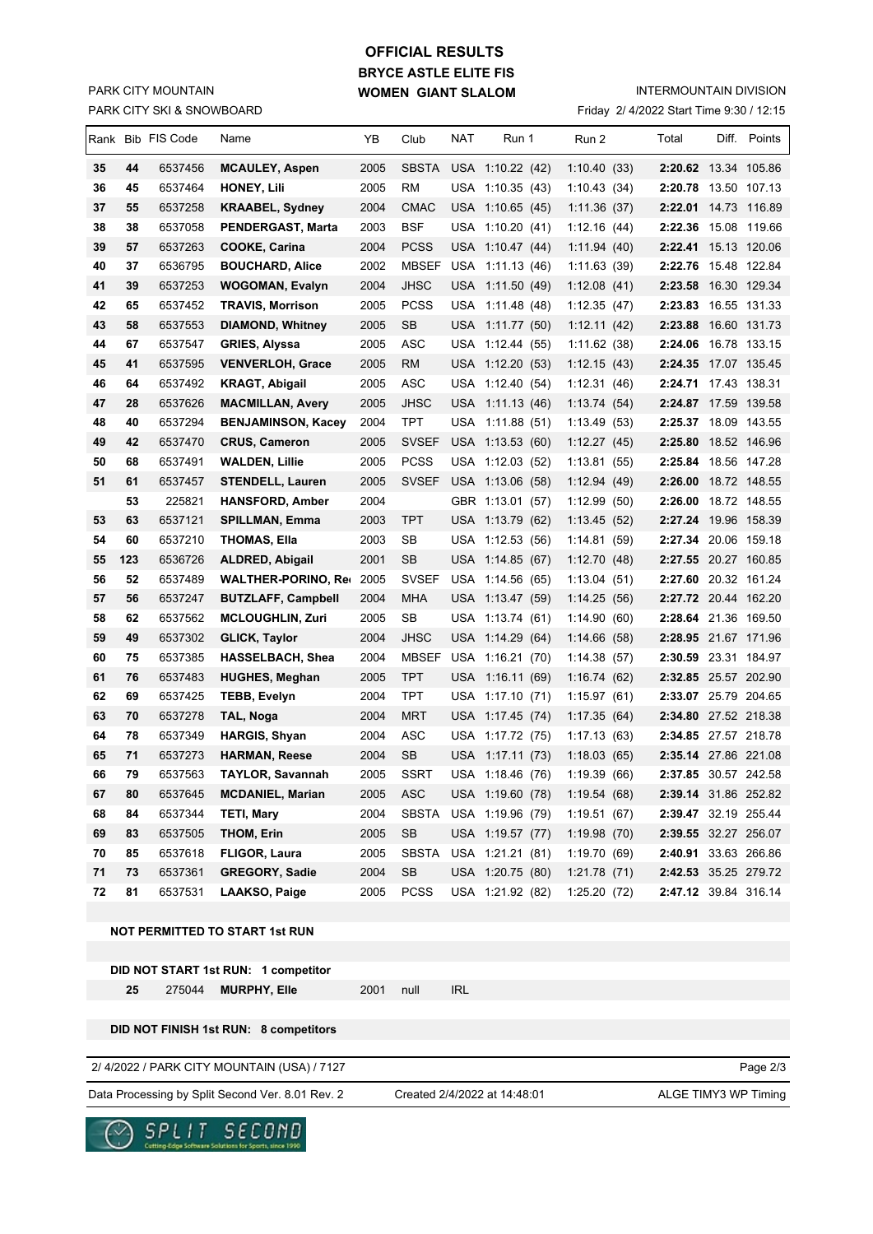# **BRYCE ASTLE ELITE FIS WOMEN GIANT SLALOM OFFICIAL RESULTS**

PARK CITY SKI & SNOWBOARD PARK CITY MOUNTAIN

## INTERMOUNTAIN DIVISION

Friday 2/ 4/2022 Start Time 9:30 / 12:15

|    |     | Rank Bib FIS Code | Name                       | YB   | Club         | NAT | Run 1            | Run 2        | Total                       | Diff. Points |
|----|-----|-------------------|----------------------------|------|--------------|-----|------------------|--------------|-----------------------------|--------------|
| 35 | 44  | 6537456           | <b>MCAULEY, Aspen</b>      | 2005 | SBSTA        |     | USA 1:10.22 (42) | 1:10.40(33)  | 2:20.62 13.34 105.86        |              |
| 36 | 45  | 6537464           | <b>HONEY, Lili</b>         | 2005 | <b>RM</b>    |     | USA 1:10.35 (43) | 1:10.43(34)  | 2:20.78 13.50 107.13        |              |
| 37 | 55  | 6537258           | <b>KRAABEL, Sydney</b>     | 2004 | <b>CMAC</b>  |     | USA 1:10.65 (45) | 1:11.36(37)  | 2:22.01 14.73 116.89        |              |
| 38 | 38  | 6537058           | PENDERGAST, Marta          | 2003 | <b>BSF</b>   |     | USA 1:10.20 (41) | 1:12.16(44)  | 2:22.36 15.08 119.66        |              |
| 39 | 57  | 6537263           | <b>COOKE, Carina</b>       | 2004 | <b>PCSS</b>  |     | USA 1:10.47 (44) | 1:11.94(40)  | 2:22.41 15.13 120.06        |              |
| 40 | 37  | 6536795           | <b>BOUCHARD, Alice</b>     | 2002 | <b>MBSEF</b> | USA | 1:11.13(46)      | 1:11.63(39)  | 2:22.76 15.48 122.84        |              |
| 41 | 39  | 6537253           | <b>WOGOMAN, Evalyn</b>     | 2004 | <b>JHSC</b>  |     | USA 1:11.50 (49) | 1:12.08(41)  | 2:23.58 16.30 129.34        |              |
| 42 | 65  | 6537452           | <b>TRAVIS, Morrison</b>    | 2005 | <b>PCSS</b>  |     | USA 1:11.48 (48) | 1:12.35(47)  | 2:23.83 16.55 131.33        |              |
| 43 | 58  | 6537553           | <b>DIAMOND, Whitney</b>    | 2005 | SB           |     | USA 1:11.77 (50) | 1:12.11(42)  | 2:23.88 16.60 131.73        |              |
| 44 | 67  | 6537547           | <b>GRIES, Alyssa</b>       | 2005 | ASC          |     | USA 1:12.44 (55) | 1:11.62(38)  | <b>2:24.06</b> 16.78 133.15 |              |
| 45 | 41  | 6537595           | <b>VENVERLOH, Grace</b>    | 2005 | RM           |     | USA 1:12.20 (53) | 1:12.15(43)  | 2:24.35 17.07 135.45        |              |
| 46 | 64  | 6537492           | <b>KRAGT, Abigail</b>      | 2005 | ASC          |     | USA 1:12.40 (54) | 1:12.31(46)  | 2:24.71 17.43 138.31        |              |
| 47 | 28  | 6537626           | <b>MACMILLAN, Avery</b>    | 2005 | JHSC         |     | USA 1:11.13 (46) | 1:13.74(54)  | 2:24.87 17.59 139.58        |              |
| 48 | 40  | 6537294           | <b>BENJAMINSON, Kacey</b>  | 2004 | TPT          |     | USA 1:11.88 (51) | 1:13.49(53)  | 2:25.37 18.09 143.55        |              |
| 49 | 42  | 6537470           | <b>CRUS, Cameron</b>       | 2005 | <b>SVSEF</b> |     | USA 1:13.53 (60) | 1:12.27(45)  | 2:25.80                     | 18.52 146.96 |
| 50 | 68  | 6537491           | <b>WALDEN, Lillie</b>      | 2005 | <b>PCSS</b>  |     | USA 1:12.03 (52) | 1:13.81(55)  | 2:25.84 18.56 147.28        |              |
| 51 | 61  | 6537457           | <b>STENDELL, Lauren</b>    | 2005 | <b>SVSEF</b> |     | USA 1:13.06 (58) | 1:12.94(49)  | 2:26.00 18.72 148.55        |              |
|    | 53  | 225821            | <b>HANSFORD, Amber</b>     | 2004 |              |     | GBR 1:13.01 (57) | 1:12.99(50)  | 2:26.00 18.72 148.55        |              |
| 53 | 63  | 6537121           | SPILLMAN, Emma             | 2003 | <b>TPT</b>   |     | USA 1:13.79 (62) | 1:13.45(52)  | 2:27.24 19.96 158.39        |              |
| 54 | 60  | 6537210           | <b>THOMAS, Ella</b>        | 2003 | SB           |     | USA 1:12.53 (56) | 1:14.81(59)  | 2:27.34 20.06 159.18        |              |
| 55 | 123 | 6536726           | <b>ALDRED, Abigail</b>     | 2001 | <b>SB</b>    |     | USA 1:14.85 (67) | 1:12.70(48)  | 2:27.55 20.27 160.85        |              |
| 56 | 52  | 6537489           | <b>WALTHER-PORINO, Req</b> | 2005 | <b>SVSEF</b> |     | USA 1:14.56 (65) | 1:13.04(51)  | 2:27.60 20.32 161.24        |              |
| 57 | 56  | 6537247           | <b>BUTZLAFF, Campbell</b>  | 2004 | MHA          |     | USA 1:13.47 (59) | 1:14.25(56)  | 2:27.72 20.44 162.20        |              |
| 58 | 62  | 6537562           | <b>MCLOUGHLIN, Zuri</b>    | 2005 | SВ           |     | USA 1:13.74 (61) | 1:14.90(60)  | 2:28.64 21.36 169.50        |              |
| 59 | 49  | 6537302           | <b>GLICK, Taylor</b>       | 2004 | <b>JHSC</b>  |     | USA 1:14.29 (64) | 1:14.66(58)  | 2:28.95 21.67 171.96        |              |
| 60 | 75  | 6537385           | <b>HASSELBACH, Shea</b>    | 2004 | <b>MBSEF</b> |     | USA 1:16.21 (70) | 1:14.38(57)  | 2:30.59 23.31 184.97        |              |
| 61 | 76  | 6537483           | <b>HUGHES, Meghan</b>      | 2005 | TPT          |     | USA 1:16.11 (69) | 1:16.74(62)  | 2:32.85 25.57 202.90        |              |
| 62 | 69  | 6537425           | <b>TEBB, Evelyn</b>        | 2004 | TPT          |     | USA 1:17.10 (71) | 1:15.97(61)  | 2:33.07 25.79 204.65        |              |
| 63 | 70  | 6537278           | TAL, Noga                  | 2004 | <b>MRT</b>   |     | USA 1:17.45 (74) | 1:17.35(64)  | 2:34.80 27.52 218.38        |              |
| 64 | 78  | 6537349           | <b>HARGIS, Shyan</b>       | 2004 | ASC          |     | USA 1:17.72 (75) | 1:17.13(63)  | 2:34.85 27.57 218.78        |              |
| 65 | 71  | 6537273           | <b>HARMAN, Reese</b>       | 2004 | SB           | USA | 1:17.11 (73)     | 1:18.03(65)  | 2:35.14 27.86 221.08        |              |
| 66 | 79  | 6537563           | TAYLOR, Savannah           | 2005 | <b>SSRT</b>  |     | USA 1:18.46 (76) | 1:19.39 (66) | <b>2:37.85</b> 30.57 242.58 |              |
| 67 | 80  | 6537645           | <b>MCDANIEL, Marian</b>    | 2005 | <b>ASC</b>   |     | USA 1:19.60 (78) | 1:19.54(68)  | 2:39.14 31.86 252.82        |              |
| 68 | 84  | 6537344           | <b>TETI, Mary</b>          | 2004 | <b>SBSTA</b> |     | USA 1:19.96 (79) | 1:19.51(67)  | 2:39.47 32.19 255.44        |              |
| 69 | 83  | 6537505           | <b>THOM, Erin</b>          | 2005 | <b>SB</b>    |     | USA 1:19.57 (77) | 1:19.98(70)  | 2:39.55 32.27 256.07        |              |
| 70 | 85  | 6537618           | FLIGOR, Laura              | 2005 | <b>SBSTA</b> |     | USA 1:21.21 (81) | 1:19.70 (69) | 2:40.91 33.63 266.86        |              |
| 71 | 73  | 6537361           | <b>GREGORY, Sadie</b>      | 2004 | SB           |     | USA 1:20.75 (80) | 1:21.78(71)  | 2:42.53 35.25 279.72        |              |
| 72 | 81  | 6537531           | LAAKSO, Paige              | 2005 | <b>PCSS</b>  |     | USA 1:21.92 (82) | 1:25.20 (72) | 2:47.12 39.84 316.14        |              |

#### **NOT PERMITTED TO START 1st RUN**

**DID NOT START 1st RUN: 1 competitor**

 **25** 275044 **MURPHY, Elle** 2001 null IRL

**DID NOT FINISH 1st RUN: 8 competitors**

### 2/ 4/2022 / PARK CITY MOUNTAIN (USA) / 7127

Data Processing by Split Second Ver. 8.01 Rev. 2 Created 2/4/2022 at 14:48:01 ALGE TIMY3 WP Timing

Created 2/4/2022 at 14:48:01

Page 2/3